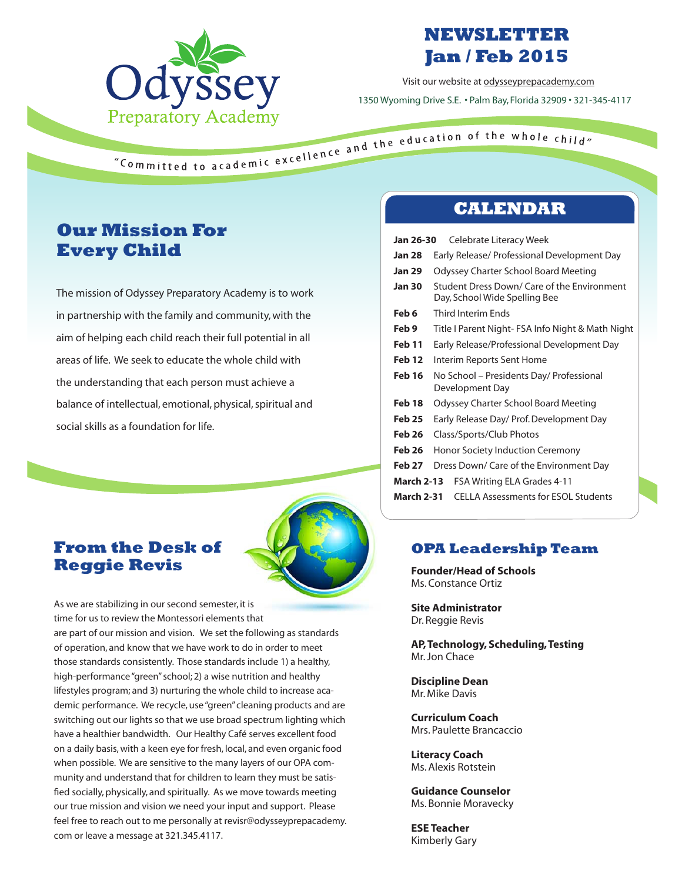

## **NEWSLETTER Jan / Feb 2015**

Visit our website at odysseyprepacademy.com 1350 Wyoming Drive S.E. • Palm Bay, Florida 32909 • 321-345-4117

## **Our Mission For Every Child**

The mission of Odyssey Preparatory Academy is to work in partnership with the family and community, with the aim of helping each child reach their full potential in all areas of life. We seek to educate the whole child with the understanding that each person must achieve a balance of intellectual, emotional, physical, spiritual and social skills as a foundation for life.



## **From the Desk of Reggie Revis**

As we are stabilizing in our second semester, it is time for us to review the Montessori elements that are part of our mission and vision. We set the following as standards of operation, and know that we have work to do in order to meet those standards consistently. Those standards include 1) a healthy, high-performance "green" school; 2) a wise nutrition and healthy lifestyles program; and 3) nurturing the whole child to increase academic performance. We recycle, use "green" cleaning products and are switching out our lights so that we use broad spectrum lighting which have a healthier bandwidth. Our Healthy Café serves excellent food on a daily basis, with a keen eye for fresh, local, and even organic food when possible. We are sensitive to the many layers of our OPA community and understand that for children to learn they must be satisfied socially, physically, and spiritually. As we move towards meeting our true mission and vision we need your input and support. Please feel free to reach out to me personally at revisr@odysseyprepacademy. com or leave a message at 321.345.4117.

### **CALENDAR**

| Jan 26-30         | Celebrate Literacy Week                                                      |
|-------------------|------------------------------------------------------------------------------|
| <b>Jan 28</b>     | Early Release/ Professional Development Day                                  |
| <b>Jan 29</b>     | Odyssey Charter School Board Meeting                                         |
| <b>Jan 30</b>     | Student Dress Down/ Care of the Environment<br>Day, School Wide Spelling Bee |
| Feb 6             | Third Interim Ends                                                           |
| Feb 9             | Title I Parent Night- FSA Info Night & Math Night                            |
| Feb 11            | Early Release/Professional Development Day                                   |
| Feb 12            | Interim Reports Sent Home                                                    |
| Feb 16            | No School – Presidents Day/ Professional<br>Development Day                  |
| Feb 18            | Odyssey Charter School Board Meeting                                         |
| <b>Feb 25</b>     | Early Release Day/ Prof. Development Day                                     |
| Feb 26            | Class/Sports/Club Photos                                                     |
| <b>Feb 26</b>     | Honor Society Induction Ceremony                                             |
| Feb 27            | Dress Down/ Care of the Environment Day                                      |
| <b>March 2-13</b> | FSA Writing ELA Grades 4-11                                                  |
| <b>March 2-31</b> | <b>CELLA Assessments for ESOL Students</b>                                   |

#### **OPA Leadership Team**

**Founder/Head of Schools** Ms. Constance Ortiz

**Site Administrator** Dr. Reggie Revis

**AP, Technology, Scheduling, Testing**  Mr. Jon Chace

**Discipline Dean** Mr. Mike Davis

**Curriculum Coach** Mrs. Paulette Brancaccio

**Literacy Coach** Ms. Alexis Rotstein

**Guidance Counselor** Ms. Bonnie Moravecky

**ESE Teacher** Kimberly Gary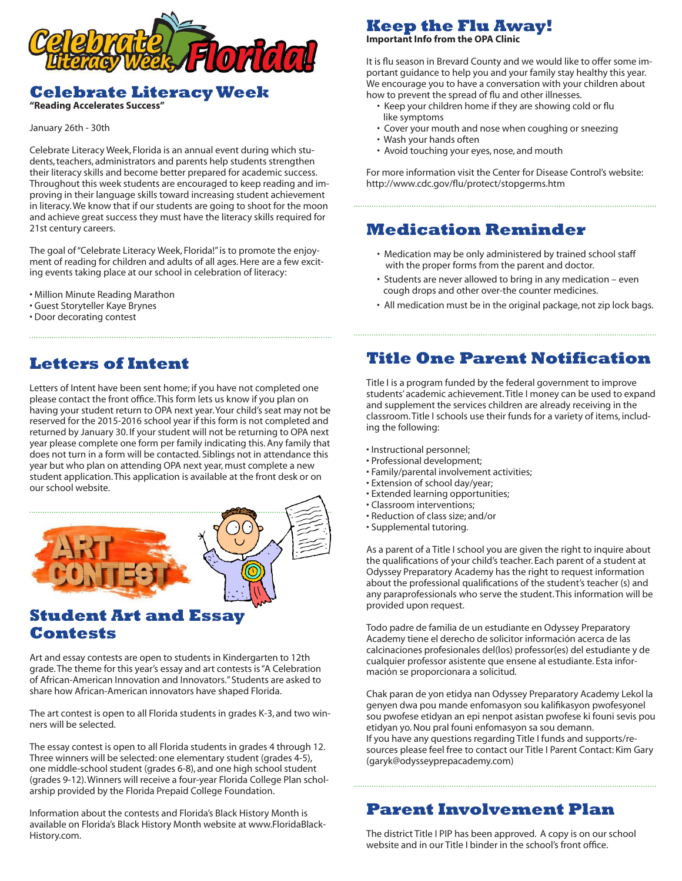

#### **Celebrate Literacy Week**

**"Reading Accelerates Success"**

January 26th - 30th

Celebrate Literacy Week, Florida is an annual event during which students, teachers, administrators and parents help students strengthen their literacy skills and become better prepared for academic success. Throughout this week students are encouraged to keep reading and improving in their language skills toward increasing student achievement in literacy. We know that if our students are going to shoot for the moon and achieve great success they must have the literacy skills required for 21st century careers.

The goal of "Celebrate Literacy Week, Florida!" is to promote the enjoyment of reading for children and adults of all ages. Here are a few exciting events taking place at our school in celebration of literacy:

- Million Minute Reading Marathon
- Guest Storyteller Kaye Brynes
- Door decorating contest

## **Letters of Intent**

Letters of Intent have been sent home; if you have not completed one please contact the front office. This form lets us know if you plan on having your student return to OPA next year. Your child's seat may not be reserved for the 2015-2016 school year if this form is not completed and returned by January 30. If your student will not be returning to OPA next year please complete one form per family indicating this. Any family that does not turn in a form will be contacted. Siblings not in attendance this year but who plan on attending OPA next year, must complete a new student application. This application is available at the front desk or on our school website.



#### **Student Art and Essay Contests**

Art and essay contests are open to students in Kindergarten to 12th grade. The theme for this year's essay and art contests is "A Celebration of African-American Innovation and Innovators." Students are asked to share how African-American innovators have shaped Florida.

The art contest is open to all Florida students in grades K-3, and two winners will be selected.

The essay contest is open to all Florida students in grades 4 through 12. Three winners will be selected: one elementary student (grades 4-5), one middle-school student (grades 6-8), and one high school student (grades 9-12). Winners will receive a four-year Florida College Plan scholarship provided by the Florida Prepaid College Foundation.

Information about the contests and Florida's Black History Month is available on Florida's Black History Month website at www.FloridaBlack-History.com.

## **Keep the Flu Away!**

**Important Info from the OPA Clinic**

It is flu season in Brevard County and we would like to offer some important guidance to help you and your family stay healthy this year. We encourage you to have a conversation with your children about how to prevent the spread of flu and other illnesses.

- Keep your children home if they are showing cold or flu like symptoms
- Cover your mouth and nose when coughing or sneezing
- Wash your hands often
- Avoid touching your eyes, nose, and mouth

For more information visit the Center for Disease Control's website: http://www.cdc.gov/flu/protect/stopgerms.htm

## **Medication Reminder**

- Medication may be only administered by trained school staff with the proper forms from the parent and doctor.
- Students are never allowed to bring in any medication even cough drops and other over-the counter medicines.
- All medication must be in the original package, not zip lock bags.

### **Title One Parent Notification**

Title I is a program funded by the federal government to improve students' academic achievement. Title I money can be used to expand and supplement the services children are already receiving in the classroom. Title I schools use their funds for a variety of items, including the following:

- Instructional personnel;
- Professional development;
- Family/parental involvement activities;
- Extension of school day/year;
- Extended learning opportunities;

(garyk@odysseyprepacademy.com)

- Classroom interventions;
- Reduction of class size; and/or
- Supplemental tutoring.

As a parent of a Title I school you are given the right to inquire about the qualifications of your child's teacher. Each parent of a student at Odyssey Preparatory Academy has the right to request information about the professional qualifications of the student's teacher (s) and any paraprofessionals who serve the student. This information will be provided upon request.

Todo padre de familia de un estudiante en Odyssey Preparatory Academy tiene el derecho de solicitor información acerca de las calcinaciones profesionales del(los) professor(es) del estudiante y de cualquier professor asistente que ensene al estudiante. Esta información se proporcionara a solicitud.

Chak paran de yon etidya nan Odyssey Preparatory Academy Lekol la genyen dwa pou mande enfomasyon sou kalifikasyon pwofesyonel sou pwofese etidyan an epi nenpot asistan pwofese ki founi sevis pou etidyan yo. Nou pral founi enfomasyon sa sou demann. If you have any questions regarding Title I funds and supports/resources please feel free to contact our Title I Parent Contact: Kim Gary

### **Parent Involvement Plan**

The district Title I PIP has been approved. A copy is on our school website and in our Title I binder in the school's front office.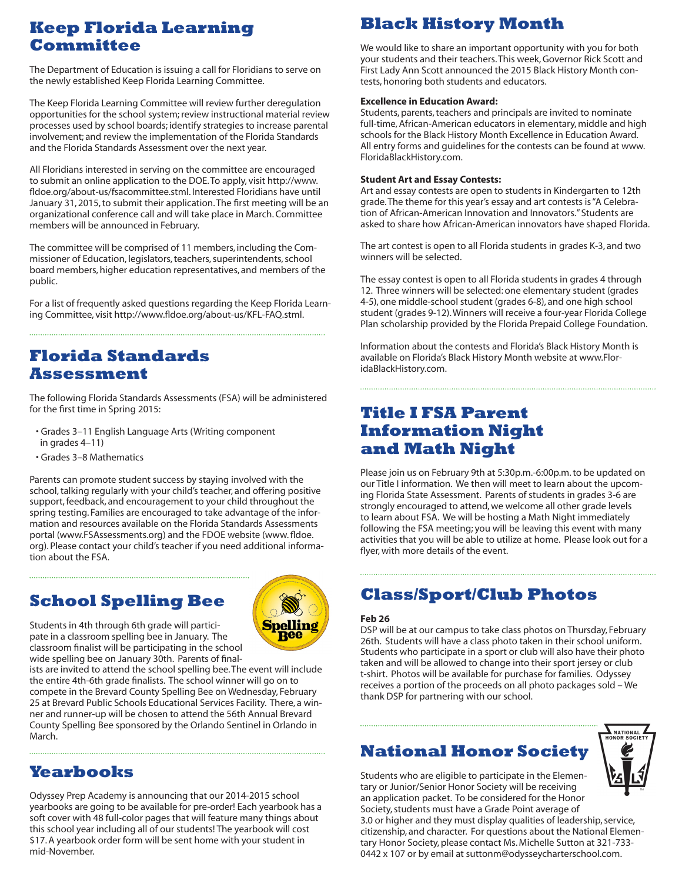## **Keep Florida Learning Committee**

The Department of Education is issuing a call for Floridians to serve on the newly established Keep Florida Learning Committee.

The Keep Florida Learning Committee will review further deregulation opportunities for the school system; review instructional material review processes used by school boards; identify strategies to increase parental involvement; and review the implementation of the Florida Standards and the Florida Standards Assessment over the next year.

All Floridians interested in serving on the committee are encouraged to submit an online application to the DOE. To apply, visit http://www. fldoe.org/about-us/fsacommittee.stml. Interested Floridians have until January 31, 2015, to submit their application. The first meeting will be an organizational conference call and will take place in March. Committee members will be announced in February.

The committee will be comprised of 11 members, including the Commissioner of Education, legislators, teachers, superintendents, school board members, higher education representatives, and members of the public.

For a list of frequently asked questions regarding the Keep Florida Learning Committee, visit http://www.fldoe.org/about-us/KFL-FAQ.stml.

## **Florida Standards Assessment**

The following Florida Standards Assessments (FSA) will be administered for the first time in Spring 2015:

- Grades 3–11 English Language Arts (Writing component in grades 4–11)
- Grades 3–8 Mathematics

Parents can promote student success by staying involved with the school, talking regularly with your child's teacher, and offering positive support, feedback, and encouragement to your child throughout the spring testing. Families are encouraged to take advantage of the information and resources available on the Florida Standards Assessments portal (www.FSAssessments.org) and the FDOE website (www. fldoe. org). Please contact your child's teacher if you need additional information about the FSA.

## **School Spelling Bee**



Students in 4th through 6th grade will participate in a classroom spelling bee in January. The classroom finalist will be participating in the school wide spelling bee on January 30th. Parents of final-

ists are invited to attend the school spelling bee. The event will include the entire 4th-6th grade finalists. The school winner will go on to compete in the Brevard County Spelling Bee on Wednesday, February 25 at Brevard Public Schools Educational Services Facility. There, a winner and runner-up will be chosen to attend the 56th Annual Brevard County Spelling Bee sponsored by the Orlando Sentinel in Orlando in March.

## **Yearbooks**

Odyssey Prep Academy is announcing that our 2014-2015 school yearbooks are going to be available for pre-order! Each yearbook has a soft cover with 48 full-color pages that will feature many things about this school year including all of our students! The yearbook will cost \$17. A yearbook order form will be sent home with your student in mid-November.

# **Black History Month**

We would like to share an important opportunity with you for both your students and their teachers. This week, Governor Rick Scott and First Lady Ann Scott announced the 2015 Black History Month contests, honoring both students and educators.

#### **Excellence in Education Award:**

Students, parents, teachers and principals are invited to nominate full-time, African-American educators in elementary, middle and high schools for the Black History Month Excellence in Education Award. All entry forms and guidelines for the contests can be found at www. FloridaBlackHistory.com.

#### **Student Art and Essay Contests:**

Art and essay contests are open to students in Kindergarten to 12th grade. The theme for this year's essay and art contests is "A Celebration of African-American Innovation and Innovators." Students are asked to share how African-American innovators have shaped Florida.

The art contest is open to all Florida students in grades K-3, and two winners will be selected.

The essay contest is open to all Florida students in grades 4 through 12. Three winners will be selected: one elementary student (grades 4-5), one middle-school student (grades 6-8), and one high school student (grades 9-12). Winners will receive a four-year Florida College Plan scholarship provided by the Florida Prepaid College Foundation.

Information about the contests and Florida's Black History Month is available on Florida's Black History Month website at www.FloridaBlackHistory.com.

### **Title I FSA Parent Information Night and Math Night**

Please join us on February 9th at 5:30p.m.-6:00p.m. to be updated on our Title I information. We then will meet to learn about the upcoming Florida State Assessment. Parents of students in grades 3-6 are strongly encouraged to attend, we welcome all other grade levels to learn about FSA. We will be hosting a Math Night immediately following the FSA meeting; you will be leaving this event with many activities that you will be able to utilize at home. Please look out for a flyer, with more details of the event.

## **Class/Sport/Club Photos**

#### **Feb 26**

DSP will be at our campus to take class photos on Thursday, February 26th. Students will have a class photo taken in their school uniform. Students who participate in a sport or club will also have their photo taken and will be allowed to change into their sport jersey or club t-shirt. Photos will be available for purchase for families. Odyssey receives a portion of the proceeds on all photo packages sold – We thank DSP for partnering with our school.

## **National Honor Society**



Students who are eligible to participate in the Elementary or Junior/Senior Honor Society will be receiving an application packet. To be considered for the Honor Society, students must have a Grade Point average of 3.0 or higher and they must display qualities of leadership, service, citizenship, and character. For questions about the National Elementary Honor Society, please contact Ms. Michelle Sutton at 321-733- 0442 x 107 or by email at suttonm@odysseycharterschool.com.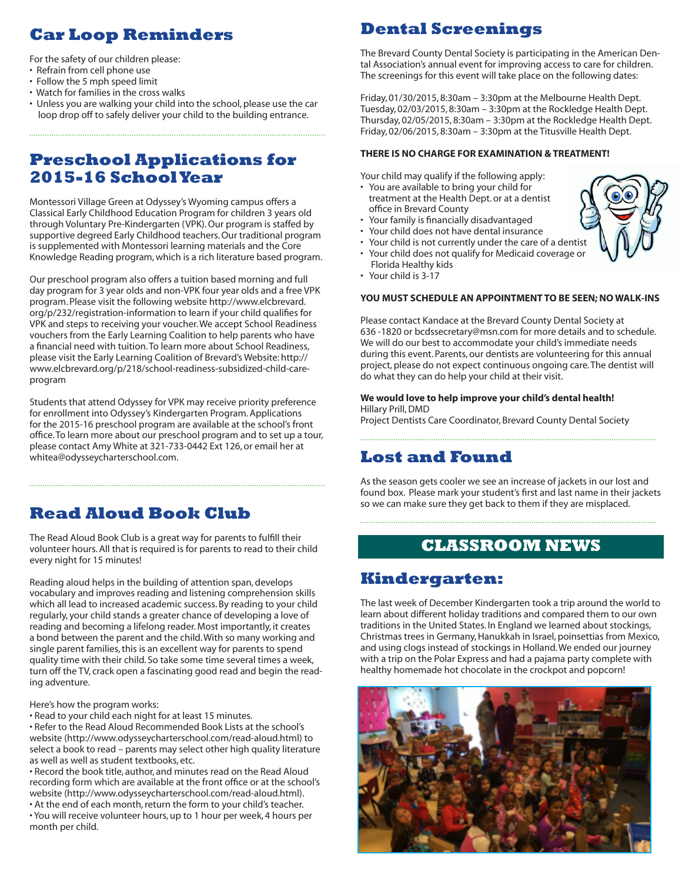# **Car Loop Reminders**

For the safety of our children please:

- Refrain from cell phone use
- Follow the 5 mph speed limit
- Watch for families in the cross walks
- Unless you are walking your child into the school, please use the car loop drop off to safely deliver your child to the building entrance.

## **Preschool Applications for 2015-16 School Year**

Montessori Village Green at Odyssey's Wyoming campus offers a Classical Early Childhood Education Program for children 3 years old through Voluntary Pre-Kindergarten (VPK). Our program is staffed by supportive degreed Early Childhood teachers. Our traditional program is supplemented with Montessori learning materials and the Core Knowledge Reading program, which is a rich literature based program.

Our preschool program also offers a tuition based morning and full day program for 3 year olds and non-VPK four year olds and a free VPK program. Please visit the following website http://www.elcbrevard. org/p/232/registration-information to learn if your child qualifies for VPK and steps to receiving your voucher. We accept School Readiness vouchers from the Early Learning Coalition to help parents who have a financial need with tuition. To learn more about School Readiness, please visit the Early Learning Coalition of Brevard's Website: http:// www.elcbrevard.org/p/218/school-readiness-subsidized-child-careprogram

Students that attend Odyssey for VPK may receive priority preference for enrollment into Odyssey's Kindergarten Program. Applications for the 2015-16 preschool program are available at the school's front office. To learn more about our preschool program and to set up a tour, please contact Amy White at 321-733-0442 Ext 126, or email her at whitea@odysseycharterschool.com.

## **Read Aloud Book Club**

The Read Aloud Book Club is a great way for parents to fulfill their volunteer hours. All that is required is for parents to read to their child every night for 15 minutes!

Reading aloud helps in the building of attention span, develops vocabulary and improves reading and listening comprehension skills which all lead to increased academic success. By reading to your child regularly, your child stands a greater chance of developing a love of reading and becoming a lifelong reader. Most importantly, it creates a bond between the parent and the child. With so many working and single parent families, this is an excellent way for parents to spend quality time with their child. So take some time several times a week, turn off the TV, crack open a fascinating good read and begin the reading adventure.

Here's how the program works:

• Read to your child each night for at least 15 minutes.

• Refer to the Read Aloud Recommended Book Lists at the school's website (http://www.odysseycharterschool.com/read-aloud.html) to select a book to read – parents may select other high quality literature as well as well as student textbooks, etc.

• Record the book title, author, and minutes read on the Read Aloud recording form which are available at the front office or at the school's website (http://www.odysseycharterschool.com/read-aloud.html).

• At the end of each month, return the form to your child's teacher. • You will receive volunteer hours, up to 1 hour per week, 4 hours per month per child.

## **Dental Screenings**

The Brevard County Dental Society is participating in the American Dental Association's annual event for improving access to care for children. The screenings for this event will take place on the following dates:

Friday, 01/30/2015, 8:30am – 3:30pm at the Melbourne Health Dept. Tuesday, 02/03/2015, 8:30am – 3:30pm at the Rockledge Health Dept. Thursday, 02/05/2015, 8:30am – 3:30pm at the Rockledge Health Dept. Friday, 02/06/2015, 8:30am – 3:30pm at the Titusville Health Dept.

#### **THERE IS NO CHARGE FOR EXAMINATION & TREATMENT!**

Your child may qualify if the following apply:

- You are available to bring your child for treatment at the Health Dept. or at a dentist office in Brevard County
- Your family is financially disadvantaged
- Your child does not have dental insurance
- Your child is not currently under the care of a dentist • Your child does not qualify for Medicaid coverage or
- Florida Healthy kids • Your child is 3-17

#### **YOU MUST SCHEDULE AN APPOINTMENT TO BE SEEN; NO WALK-INS**

Please contact Kandace at the Brevard County Dental Society at 636 -1820 or bcdssecretary@msn.com for more details and to schedule. We will do our best to accommodate your child's immediate needs during this event. Parents, our dentists are volunteering for this annual project, please do not expect continuous ongoing care. The dentist will do what they can do help your child at their visit.

#### **We would love to help improve your child's dental health!** Hillary Prill, DMD

Project Dentists Care Coordinator, Brevard County Dental Society

## **Lost and Found**

As the season gets cooler we see an increase of jackets in our lost and found box. Please mark your student's first and last name in their jackets so we can make sure they get back to them if they are misplaced.

### **CLASSROOM NEWS**

## **Kindergarten:**

The last week of December Kindergarten took a trip around the world to learn about different holiday traditions and compared them to our own traditions in the United States. In England we learned about stockings, Christmas trees in Germany, Hanukkah in Israel, poinsettias from Mexico, and using clogs instead of stockings in Holland. We ended our journey with a trip on the Polar Express and had a pajama party complete with healthy homemade hot chocolate in the crockpot and popcorn!